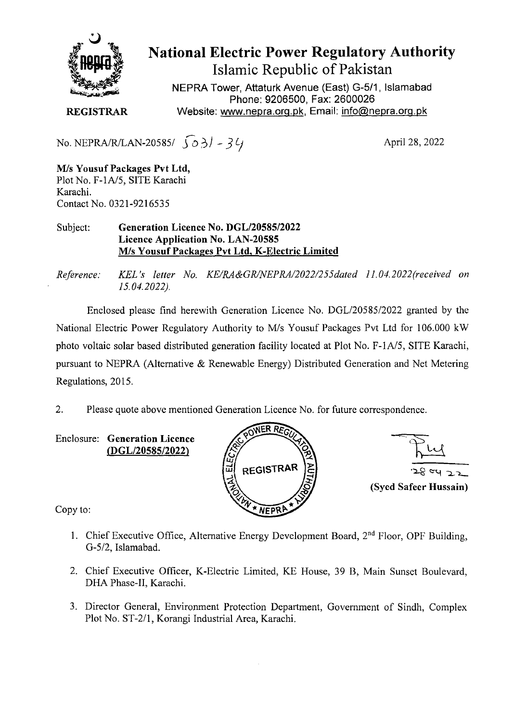

National Electric Power Regulatory Authority Islamic Republic of Pakistan

**NEPRA Tower, Attaturk Avenue (East) G-511, Islamabad Phone: 9206500, Fax: 2600026 REGISTRAR** Website: www.nepra.org.pk, Email: info@nepra.org.pk

No. NEPRA/R/LAN-20585/  $\int \partial \partial \theta$  - 34

April 28, 2022

**MIs Yousuf Packages Pvt Ltd,**  Plot No. F-1A/5, SITE Karachi Karachi. Contact No. 0321-9216535

Subject: **Generation Licence No.** *DGL12058512022*  **Licence Application No. LAN-20585 M/s Yousuf Packages Pvt Ltd. K-Electric Limited** 

*Reference: KEL 's letter No. KE/RA&GRINEPRA/2022/255dated 11.04. 2022(received on 15.04.2022).* 

Enclosed please find herewith Generation Licence No. DGL/20585/2022 granted by the National Electric Power Regulatory Authority to M/s Yousuf Packages Pvt Ltd for 106.000 kW photo voltaic solar based distributed generation facility located at Plot No. F-1A/5, SITE Karachi, pursuant to NEPRA (Alternative & Renewable Energy) Distributed Generation and Net Metering Regulations, 2015.

2. Please quote above mentioned Generation Licence No. for future correspondence.

**Enclosure: Generation Licence**  *(DGL12058512022)* 





Copy to:

- 1. Chief Executive Office, Alternative Energy Development Board,  $2<sup>nd</sup>$  Floor, OPF Building, *G-5/2,* Islamabad.
- 2. Chief Executive Officer, K-Electric Limited, KE House, 39 B, Main Sunset Boulevard, DHA Phase-II, Karachi.
- 3. Director General, Environment Protection Department, Government of Sindh, Complex Plot No. ST-2/1, Korangi Industrial Area, Karachi.